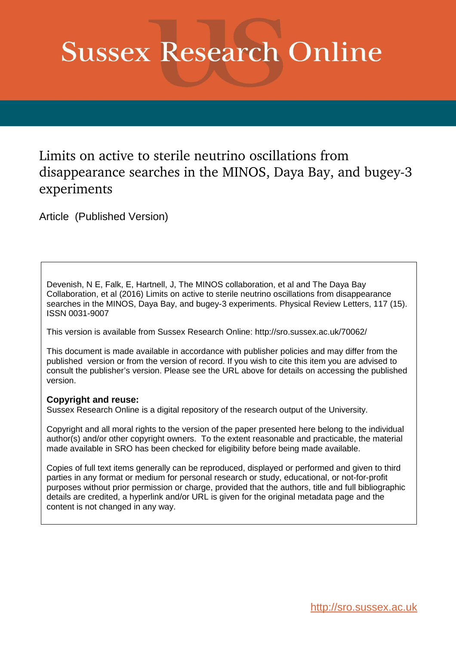## **Sussex Research Online**

## Limits on active to sterile neutrino oscillations from disappearance searches in the MINOS, Daya Bay, and bugey-3 experiments

<span id="page-0-1"></span>Article (Published Version)

Devenish, N E, Falk, E, Hartnell, J, The MINOS collaboration, et al and The Daya Bay Collaboration, et al (2016) Limits on active to sterile neutrino oscillations from disappearance searches in the MINOS, Daya Bay, and bugey-3 experiments. Physical Review Letters, 117 (15). ISSN 0031-9007

This version is available from Sussex Research Online: http://sro.sussex.ac.uk/70062/

This document is made available in accordance with publisher policies and may differ from the published version or from the version of record. If you wish to cite this item you are advised to consult the publisher's version. Please see the URL above for details on accessing the published version.

## **Copyright and reuse:**

<span id="page-0-0"></span>Sussex Research Online is a digital repository of the research output of the University.

Copyright and all moral rights to the version of the paper presented here belong to the individual author(s) and/or other copyright owners. To the extent reasonable and practicable, the material made available in SRO has been checked for eligibility before being made available.

Copies of full text items generally can be reproduced, displayed or performed and given to third parties in any format or medium for personal research or study, educational, or not-for-profit purposes without prior permission or charge, provided that the authors, title and full bibliographic details are credited, a hyperlink and/or URL is given for the original metadata page and the content is not changed in any way.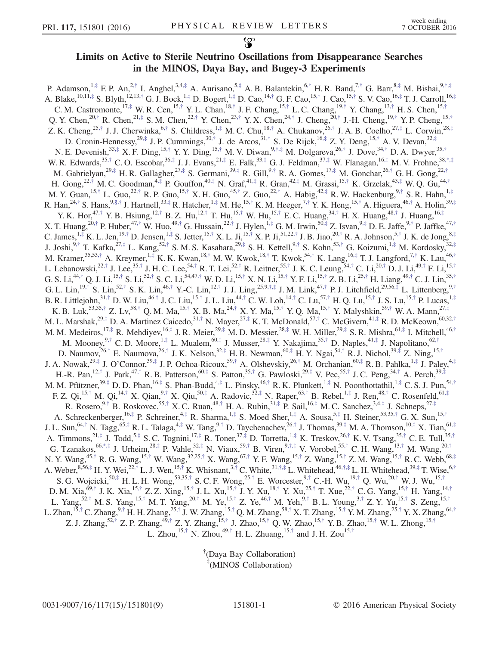## Limits on Active to Sterile Neutrino Oscillations from Disappearance Searches in the MINOS, Daya Bay, and Bugey-3 Experiments

P. Adamson,  $^{1, \ddagger}$  F. P. An,  $^{2, \dagger}$  I. Anghel,  $^{3,4, \ddagger}$  A. Aurisano,  $^{5, \ddagger}$  A. B. Balantekin,  $^{6, \dagger}$  H. R. Band,  $^{7, \dagger}$  G. Barr,  $^{8, \ddagger}$  M. Bishai,  $^{9, \dagger, \ddagger}$ A. Blake,<sup>10,11,‡</sup> S. Blyth,<sup>12,13,†</sup> G. J. Bock,<sup>1,‡</sup> D. Bogert,<sup>1,‡</sup> D. Cao,<sup>14,†</sup> G. F. Cao,<sup>15,†</sup> J. Cao,<sup>15,†</sup> S. V. Cao,<sup>16,‡</sup> T. J. Carroll,<sup>16,‡</sup> C. M. Castromonte,  $^{17, \ddagger}$  W. R. Cen,  $^{15, \dagger}$  Y. L. Chan,  $^{18, \dagger}$  J. F. Chang,  $^{15, \dagger}$  L. C. Chang,  $^{19, \dagger}$  Y. Chang,  $^{13, \dagger}$  H. S. Chen,  $^{15, \dagger}$ Q. Y. Chen,<sup>20,†</sup> R. Chen,<sup>21,‡</sup> S. M. Chen,<sup>22,†</sup> Y. Chen,<sup>23,†</sup> Y. X. Chen,<sup>24,†</sup> J. Cheng,<sup>20,†</sup> J.-H. Cheng,<sup>19,†</sup> Y. P. Cheng,<sup>15,†</sup> Z. K. Cheng,<sup>25,†</sup> J. J. Cherwinka,<sup>6,†</sup> S. Childress,<sup>1,‡</sup> M. C. Chu,<sup>18,†</sup> A. Chukanov,<sup>26,†</sup> J. A. B. Coelho,<sup>27,‡</sup> L. Corwin,<sup>28,‡</sup> D. Cronin-Hennessy,<sup>29,‡</sup> J. P. Cummings,<sup>30,†</sup> J. de Arcos,<sup>31,†</sup> S. De Rijck,<sup>16,‡</sup> Z. Y. Deng,<sup>15,†</sup> A. V. Devan,<sup>32,‡</sup> N. E. Devenish,  $33, \frac{1}{7}$  X. F. Ding,  $^{15, \dagger}$  Y. Y. Ding,  $^{15, \dagger}$  M. V. Diwan,  $^{9, \dagger, \ddagger}$  M. Dolgareva,  $^{26, \dagger}$  J. Dove,  $^{34, \dagger}$  D. A. Dwyer,  $^{35, \dagger}$ W. R. Edwards,  $35, \dagger$  C. O. Escobar,  $36, \dagger$  J. J. Evans,  $21, \dagger$  E. Falk,  $33, \dagger$  G. J. Feldman,  $37, \dagger$  W. Flanagan,  $16, \dagger$  M. V. Frohne,  $38, \dagger, \dagger$ M. Gabrielyan,<sup>29,‡</sup> H. R. Gallagher,<sup>27,‡</sup> S. Germani,<sup>39,‡</sup> R. Gill,<sup>9,†</sup> R. A. Gomes,<sup>17,‡</sup> M. Gonchar,<sup>26,†</sup> G. H. Gong,<sup>22,†</sup> H. Gong,<sup>22,†</sup> M. C. Goodman,<sup>4,‡</sup> P. Gouffon,<sup>40,‡</sup> N. Graf,<sup>41,‡</sup> R. Gran,<sup>42,‡</sup> M. Grassi,<sup>15,†</sup> K. Grzelak,<sup>43,‡</sup> W. Q. Gu,<sup>44,†</sup> M. Y. Guan,  $^{15, \dagger}$  L. Guo, $^{22, \dagger}$  R. P. Guo,  $^{15, \dagger}$  X. H. Guo,  $^{45, \dagger}$  Z. Guo,  $^{22, \dagger}$  A. Habig,  $^{42, \dagger}$  R. W. Hackenburg,  $^{9, \dagger}$  S. R. Hahn,  $^{1, \dagger}$ R. Han,  $^{24, \dagger}$  S. Hans,  $^{9, \S, \dagger}$  J. Hartnell,  $^{33, \ddagger}$  R. Hatcher,  $^{1, \ddagger}$  M. He,  $^{15, \dagger}$  K. M. Heeger,  $^{7, \dagger}$  Y. K. Heng,  $^{15, \dagger}$  A. Higuera,  $^{46, \dagger}$  A. Holin,  $^{39, \ddagger}$ Y. K. Hor,<sup>47,†</sup> Y. B. Hsiung,<sup>12,†</sup> B. Z. Hu,<sup>12,†</sup> T. Hu,<sup>15,†</sup> W. Hu,<sup>15,†</sup> E. C. Huang,<sup>34,†</sup> H. X. Huang,<sup>48,†</sup> J. Huang,<sup>16,‡</sup> X. T. Huang,  $^{20,\dagger}$  P. Huber,  $^{47,\dagger}$  W. Huo,  $^{49,\dagger}$  G. Hussain,  $^{22,\dagger}$  J. Hylen,  $^{1,\dagger}$  G. M. Irwin,  $^{50,\dagger}$  Z. Isvan,  $^{9,\dagger}$  D. E. Jaffe,  $^{9,\dagger}$  P. Jaffke,  $^{47,\dagger}$ C. James,  $^{1, \frac{4}{7}}$  K. L. Jen,  $^{19, \dagger}$  D. Jensen,  $^{1, \frac{4}{7}}$  S. Jetter,  $^{15, \dagger}$  X. L. Ji,  $^{15, \dagger}$  X. P. Ji,  $^{51, 22, \dagger}$  J. B. Jiao,  $^{20, \dagger}$  R. A. Johnson,  $^{5, \dagger}$  J. K. de Jong,  $^{8, \ddagger}$ J. Joshi,<sup>9,†</sup> T. Kafka,<sup>27,‡</sup> L. Kang,<sup>52,†</sup> S. M. S. Kasahara,<sup>29,‡</sup> S. H. Kettell,<sup>9,†</sup> S. Kohn,<sup>53,†</sup> G. Koizumi,<sup>1,‡</sup> M. Kordosky,<sup>32,‡</sup> M. Kramer,<sup>35,53,†</sup> A. Kreymer,<sup>1,‡</sup> K. K. Kwan,<sup>18,†</sup> M. W. Kwok,<sup>18,†</sup> T. Kwok,<sup>54,†</sup> K. Lang,<sup>16,‡</sup> T. J. Langford,<sup>7,†</sup> K. Lau,<sup>46,†</sup> L. Lebanowski,<sup>22,†</sup> J. Lee,<sup>35,†</sup> J. H. C. Lee,<sup>54,†</sup> R. T. Lei,<sup>52,†</sup> R. Leitner,<sup>55,†</sup> J. K. C. Leung,<sup>54,†</sup> C. Li,<sup>20,†</sup> D. J. Li,<sup>49,†</sup> F. Li,<sup>15,†</sup> G. S. Li, $^{44, \dagger}$  Q. J. Li, $^{15, \dagger}$  S. Li, $^{52, \dagger}$  S. C. Li, $^{54,47, \dagger}$  W. D. Li, $^{15, \dagger}$  X. N. Li, $^{15, \dagger}$  Y. F. Li, $^{15, \dagger}$  Z. B. Li, $^{25, \dagger}$  H. Liang, $^{49, \dagger}$  C. J. Lin, $^{35, \dagger}$ G. L. Lin,<sup>19,†</sup> S. Lin,<sup>52,†</sup> S. K. Lin,<sup>46,†</sup> Y.-C. Lin,<sup>12,†</sup> J. J. Ling,<sup>25,9,†,‡</sup> J. M. Link,<sup>47,†</sup> P. J. Litchfield,<sup>29,56,‡</sup> L. Littenberg,<sup>9,†</sup> B. R. Littlejohn,<sup>31,†</sup> D. W. Liu,<sup>46,†</sup> J. C. Liu,<sup>15,†</sup> J. L. Liu,<sup>44,†</sup> C. W. Loh,<sup>14,†</sup> C. Lu,<sup>57,†</sup> H. Q. Lu,<sup>15,†</sup> J. S. Lu,<sup>15,†</sup> P. Lucas,<sup>1,‡</sup> K. B. Luk,<sup>53,35,†</sup> Z. Lv,<sup>58,†</sup> Q. M. Ma,<sup>15,†</sup> X. B. Ma,<sup>24,†</sup> X. Y. Ma,<sup>15,†</sup> Y. Q. Ma,<sup>15,†</sup> Y. Malyshkin,<sup>59,†</sup> W. A. Mann,<sup>27,‡</sup> M. L. Marshak,<sup>29,‡</sup> D. A. Martinez Caicedo,<sup>31,†</sup> N. Mayer,<sup>27,‡</sup> K. T. McDonald,<sup>57,†</sup> C. McGivern,<sup>41,‡</sup> R. D. McKeown,<sup>60,32,†</sup> M. M. Medeiros,  $^{17, \ddagger}$  R. Mehdiyev,  $^{16, \ddagger}$  J. R. Meier,  $^{29, \ddagger}$  M. D. Messier,  $^{28, \ddagger}$  W. H. Miller,  $^{29, \ddagger}$  S. R. Mishra,  $^{61, \ddagger}$  I. Mitchell,  $^{46, \dag}$ M. Mooney,  $9,^{\dagger}$  C.D. Moore,  $1,^{\ddagger}$  L. Mualem,  $60,^{\ddagger}$  J. Musser,  $28,^{\ddagger}$  Y. Nakajima,  $35,^{\dagger}$  D. Naples,  $41,^{\ddagger}$  J. Napolitano,  $62,^{\dagger}$ D. Naumov,  $^{26, \dagger}$  E. Naumova,  $^{26, \dagger}$  J. K. Nelson,  $^{32, \ddagger}$  H. B. Newman,  $^{60, \ddagger}$  H. Y. Ngai,  $^{54, \dagger}$  R. J. Nichol,  $^{39, \ddagger}$  Z. Ning,  $^{15, \dagger}$ J. A. Nowak,<sup>29,‡</sup> J. O'Connor,<sup>39,‡</sup> J. P. Ochoa-Ricoux,<sup>59,†</sup> A. Olshevskiy,<sup>26,†</sup> M. Orchanian,<sup>60,‡</sup> R. B. Pahlka,<sup>1,‡</sup> J. Paley,<sup>4,‡</sup> H.-R. Pan,<sup>12,†</sup> J. Park,<sup>47,†</sup> R. B. Patterson,<sup>60,‡</sup> S. Patton,<sup>35,†</sup> G. Pawloski,<sup>29,‡</sup> V. Pec,<sup>55,†</sup> J. C. Peng,<sup>34,†</sup> A. Perch,<sup>39,‡</sup> M. M. Pfützner,  $39, \pm$  D. D. Phan,  $16, \pm$  S. Phan-Budd,  $4, \pm$  L. Pinsky,  $46, \pm$  R. K. Plunkett,  $1, \pm$  N. Poonthottathil,  $1, \pm$  C. S. J. Pun,  $54, \pm$ F. Z. Qi,<sup>15,†</sup> M. Qi,<sup>14,†</sup> X. Qian,<sup>9,†</sup> X. Qiu,<sup>50,‡</sup> A. Radovic,<sup>32,‡</sup> N. Raper,<sup>63,†</sup> B. Rebel,<sup>1,‡</sup> J. Ren,<sup>48,†</sup> C. Rosenfeld,<sup>61,‡</sup> R. Rosero,  $9,^{\circ}$ † B. Roskovec,  $55,^{\circ}$  X. C. Ruan,  $48,^{\circ}$  H. A. Rubin,  $31,^{\circ}$  P. Sail,  $16,^{\circ}$  M. C. Sanchez,  $3,4,^{\circ}$  J. Schneps,  $27,^{\circ}$ A. Schreckenberger,  $^{16, \ddag}$  P. Schreiner,  $^{4, \ddag}$  R. Sharma,  $^{1, \ddag}$  S. Moed Sher,  $^{1, \ddag}$  A. Sousa,  $^{5, \ddag}$  H. Steiner,  $^{53,35, \ddag}$  G. X. Sun,  $^{15, \ddag}$ J. L. Sun,  $64,^{\dagger}$  N. Tagg,  $65,^{\ddagger}$  R. L. Talaga,  $4,^{\dagger}$  W. Tang,  $9,^{\dagger}$  D. Taychenachev,  $26,^{\dagger}$  J. Thomas,  $39,^{\ddagger}$  M. A. Thomson,  $10,^{\ddagger}$  X. Tian,  $61,^{\dagger}$ A. Timmons,  $2^{1, \ddagger}$  J. Todd,  $5, \ddagger$  S. C. Tognini,  $1^{7, \ddagger}$  R. Toner,  $3^{7, \ddagger}$  D. Torretta,  $^{1, \ddagger}$  K. Treskov,  $^{26, \ddagger}$  K. V. Tsang,  $^{35, \dagger}$  C. E. Tull,  $^{35, \dagger}$ G. Tzanakos,  $66,^{*},^{*}$  J. Urheim,  $28,^{*}$  P. Vahle,  $32,^{*}$  N. Viaux,  $59,^{*}$  B. Viren,  $9,^{*},^{*}$  V. Vorobel,  $55,^{*}$  C. H. Wang,  $^{13,^{*}}$  M. Wang,  $^{20,^{*}}$ N. Y. Wang,<sup>45,†</sup> R. G. Wang,<sup>15,†</sup> W. Wang,<sup>32,25,†</sup> X. Wang,<sup>67,†</sup> Y. F. Wang,<sup>15,†</sup> Z. Wang,<sup>15,†</sup> Z. M. Wang,<sup>15,†</sup> R. C. Webb,<sup>68,‡</sup> A. Weber,  ${}^{8,56,\ddagger}$  H. Y. Wei,  ${}^{22,\dagger}$  L. J. Wen,  ${}^{15,\dagger}$  K. Whisnant,  ${}^{3,\dagger}$  C. White,  ${}^{31,\dagger,\ddagger}$  L. Whitehead,  ${}^{46,\dagger,\ddagger}$  L. H. Whitehead,  ${}^{39,\ddagger}$  T. Wise,  ${}^{6,\dagger}$ S. G. Wojcicki,  ${}^{50,\ddagger}$  H. L. H. Wong,  ${}^{53,35,\dagger}$  S. C. F. Wong,  ${}^{25,\dagger}$  E. Worcester,  ${}^{9,\dagger}$  C.-H. Wu,  ${}^{19,\dagger}$  Q. Wu,  ${}^{20,\dagger}$  W. J. Wu,  ${}^{15,\dagger}$ D. M. Xia,<sup>69,†</sup> J. K. Xia,<sup>15,†</sup> Z. Z. Xing,<sup>15,†</sup> J. L. Xu,<sup>15,†</sup> J. Y. Xu,<sup>18,†</sup> Y. Xu,<sup>25,†</sup> T. Xue,<sup>22,†</sup> C. G. Yang,<sup>15,†</sup> H. Yang,<sup>14,†</sup> L. Yang,<sup>52,†</sup> M. S. Yang,<sup>15,†</sup> M. T. Yang,<sup>20,†</sup> M. Ye,<sup>15,†</sup> Z. Ye,<sup>46,†</sup> M. Yeh,<sup>9,†</sup> B. L. Young,<sup>3,†</sup> Z. Y. Yu,<sup>15,†</sup> S. Zeng,<sup>15,†</sup> L. Zhan,<sup>15,†</sup> C. Zhang,<sup>9,†</sup> H. H. Zhang,<sup>25,†</sup> J. W. Zhang,<sup>15,†</sup> Q. M. Zhang,<sup>58,†</sup> X. T. Zhang,<sup>15,†</sup> Y. M. Zhang,<sup>25,†</sup> Y. X. Zhang,<sup>64,†</sup> Z. J. Zhang,<sup>52,†</sup> Z. P. Zhang,<sup>49,†</sup> Z. Y. Zhang,<sup>15,†</sup> J. Zhao,<sup>15,†</sup> Q. W. Zhao,<sup>15,†</sup> Y. B. Zhao,<sup>15,†</sup> W. L. Zhong,<sup>15,†</sup> L. Zhou,<sup>15,†</sup> N. Zhou,<sup>49,†</sup> H. L. Zhuang,<sup>15,†</sup> and J. H. Zou<sup>15,†</sup>

> <sup>†</sup>(Daya Bay Collaboration) (MINOS Collaboration)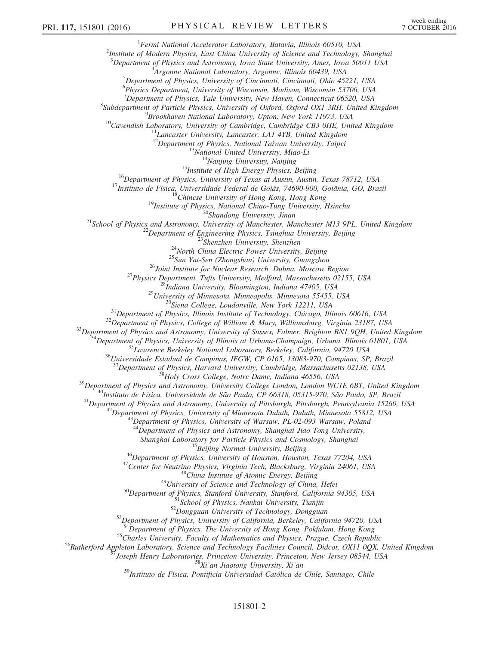<sup>1</sup>Fermi National Accelerator Laboratory, Batavia, Illinois 60510, USA

 $^{2}$ Institute of Modern Physics, East China University of Science and Technology, Shanghai

 $3$ Department of Physics and Astronomy, Iowa State University, Ames, Iowa 50011 USA

4 Argonne National Laboratory, Argonne, Illinois 60439, USA

<sup>5</sup>Department of Physics, University of Cincinnati, Cincinnati, Ohio 45221, USA

6 Physics Department, University of Wisconsin, Madison, Wisconsin 53706, USA

 $7$ Department of Physics, Yale University, New Haven, Connecticut 06520, USA

<sup>8</sup>Subdepartment of Particle Physics, University of Oxford, Oxford OX1 3RH, United Kingdom

9 Brookhaven National Laboratory, Upton, New York 11973, USA

 $10$ Cavendish Laboratory, University of Cambridge, Cambridge CB3 0HE, United Kingdom

 $11$ Lancaster University, Lancaster, LA1 4YB, United Kingdom

 $12$ Department of Physics, National Taiwan University, Taipei

 $13$ National United University, Miao-Li

 $14$ Nanjing University, Nanjing

 $15$ Institute of High Energy Physics, Beijing

<sup>16</sup>Department of Physics, University of Texas at Austin, Austin, Texas 78712, USA

<sup>17</sup>Instituto de Física, Universidade Federal de Goiás, 74690-900, Goiânia, GO, Brazil

 $18$ Chinese University of Hong Kong, Hong Kong

<sup>19</sup>Institute of Physics, National Chiao-Tung University, Hsinchu

<sup>20</sup>Shandong University, Jinan

<sup>21</sup>School of Physics and Astronomy, University of Manchester, Manchester M13 9PL, United Kingdom

 $22$ Department of Engineering Physics, Tsinghua University, Beijing

<sup>23</sup>Shenzhen University, Shenzhen

 $24$ North China Electric Power University, Beijing

<sup>25</sup>Sun Yat-Sen (Zhongshan) University, Guangzhou

<sup>26</sup>Joint Institute for Nuclear Research, Dubna, Moscow Region

<sup>27</sup>Physics Department, Tufts University, Medford, Massachusetts 02155, USA

 $^{28}$ Indiana University, Bloomington, Indiana 47405, USA

 $^{29}$ University of Minnesota, Minneapolis, Minnesota 55455, USA

 $30$ Siena College, Loudonville, New York 12211, USA

 $31$ Department of Physics, Illinois Institute of Technology, Chicago, Illinois 60616, USA

 $32$ Department of Physics, College of William & Mary, Williamsburg, Virginia 23187, USA

 $33$ Department of Physics and Astronomy, University of Sussex, Falmer, Brighton BN1 9QH, United Kingdom

 $3$ Department of Physics, University of Illinois at Urbana-Champaign, Urbana, Illinois 61801, USA

<sup>35</sup>Lawrence Berkeley National Laboratory, Berkeley, California, 94720 USA

 $36$ Universidade Estadual de Campinas, IFGW, CP 6165, 13083-970, Campinas, SP, Brazil

 $J$ Department of Physics, Harvard University, Cambridge, Massachusetts 02138, USA

<sup>38</sup>Holy Cross College, Notre Dame, Indiana 46556, USA

<sup>39</sup>Department of Physics and Astronomy, University College London, London WC1E 6BT, United Kingdom

<sup>40</sup>Instituto de Física, Universidade de São Paulo, CP 66318, 05315-970, São Paulo, SP, Brazil

 $^{41}$ Department of Physics and Astronomy, University of Pittsburgh, Pittsburgh, Pennsylvania 15260, USA

 $42$ Department of Physics, University of Minnesota Duluth, Duluth, Minnesota 55812, USA

 $^{43}$ Department of Physics, University of Warsaw, PL-02-093 Warsaw, Poland

 $44\,\text{Department}$  of Physics and Astronomy, Shanghai Jiao Tong University,

Shanghai Laboratory for Particle Physics and Cosmology, Shanghai

<sup>45</sup>Beijing Normal University, Beijing

<sup>46</sup>Department of Physics, University of Houston, Houston, Texas 77204, USA

<sup>47</sup>Center for Neutrino Physics, Virginia Tech, Blacksburg, Virginia 24061, USA

 $^{48}$ China Institute of Atomic Energy, Beijing

 $^{49}$ University of Science and Technology of China, Hefei

<sup>50</sup>Department of Physics, Stanford University, Stanford, California 94305, USA

<sup>51</sup>School of Physics, Nankai University, Tianjin

52 Dongguan University of Technology, Dongguan

53 Department of Physics, University of California, Berkeley, California 94720, USA

 $54$ Department of Physics, The University of Hong Kong, Pokfulam, Hong Kong

<sup>55</sup>Charles University, Faculty of Mathematics and Physics, Prague, Czech Republic

<sup>56</sup>Rutherford Appleton Laboratory, Science and Technology Facilities Council, Didcot, OX11 0QX, United Kingdom

<sup>57</sup>Joseph Henry Laboratories, Princeton University, Princeton, New Jersey 08544, USA

<sup>58</sup>Xi'an Jiaotong University, Xi'an

<sup>59</sup>Instituto de Física, Pontificia Universidad Católica de Chile, Santiago, Chile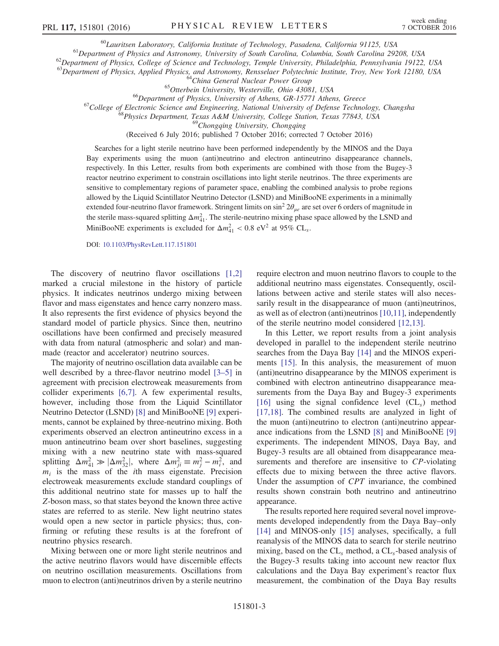<sup>60</sup>Lauritsen Laboratory, California Institute of Technology, Pasadena, California 91125, USA

<sup>61</sup>Department of Physics and Astronomy, University of South Carolina, Columbia, South Carolina 29208, USA

 $^{62}$ Department of Physics, College of Science and Technology, Temple University, Philadelphia, Pennsylvania 19122, USA

<sup>63</sup>Department of Physics, Applied Physics, and Astronomy, Rensselaer Polytechnic Institute, Troy, New York 12180, USA

<sup>64</sup>China General Nuclear Power Group

<sup>65</sup>Otterbein University, Westerville, Ohio 43081, USA

<sup>66</sup>Department of Physics, University of Athens, GR-15771 Athens, Greece

 $^{67}$ College of Electronic Science and Engineering, National University of Defense Technology, Changsha

<sup>68</sup>Physics Department, Texas A&M University, College Station, Texas 77843, USA

<sup>69</sup>Chongqing University, Chongqing

(Received 6 July 2016; published 7 October 2016; corrected 7 October 2016)

<span id="page-3-0"></span>Searches for a light sterile neutrino have been performed independently by the MINOS and the Daya Bay experiments using the muon (anti)neutrino and electron antineutrino disappearance channels, respectively. In this Letter, results from both experiments are combined with those from the Bugey-3 reactor neutrino experiment to constrain oscillations into light sterile neutrinos. The three experiments are sensitive to complementary regions of parameter space, enabling the combined analysis to probe regions allowed by the Liquid Scintillator Neutrino Detector (LSND) and MiniBooNE experiments in a minimally extended four-neutrino flavor framework. Stringent limits on  $\sin^2 2\theta_{\mu e}$  are set over 6 orders of magnitude in the sterile mass-squared splitting  $\Delta m_{41}^2$ . The sterile-neutrino mixing phase space allowed by the LSND and MiniBooNE experiments is excluded for  $\Delta m_{41}^2 < 0.8$  eV<sup>2</sup> at 95% CL<sub>s</sub>.

DOI: [10.1103/PhysRevLett.117.151801](http://dx.doi.org/10.1103/PhysRevLett.117.151801)

The discovery of neutrino flavor oscillations [\[1,2\]](#page-7-2) marked a crucial milestone in the history of particle physics. It indicates neutrinos undergo mixing between flavor and mass eigenstates and hence carry nonzero mass. It also represents the first evidence of physics beyond the standard model of particle physics. Since then, neutrino oscillations have been confirmed and precisely measured with data from natural (atmospheric and solar) and manmade (reactor and accelerator) neutrino sources.

The majority of neutrino oscillation data available can be well described by a three-flavor neutrino model [\[3](#page-7-3)–5] in agreement with precision electroweak measurements from collider experiments [\[6,7\]](#page-7-4). A few experimental results, however, including those from the Liquid Scintillator Neutrino Detector (LSND) [\[8\]](#page-7-5) and MiniBooNE [\[9\]](#page-7-6) experiments, cannot be explained by three-neutrino mixing. Both experiments observed an electron antineutrino excess in a muon antineutrino beam over short baselines, suggesting mixing with a new neutrino state with mass-squared splitting  $\Delta m_{41}^2 \gg |\Delta m_{32}^2|$ , where  $\Delta m_{ji}^2 \equiv m_j^2 - m_i^2$ , and  $m_i$  is the mass of the *i*th mass eigenstate. Precision electroweak measurements exclude standard couplings of this additional neutrino state for masses up to half the Z-boson mass, so that states beyond the known three active states are referred to as sterile. New light neutrino states would open a new sector in particle physics; thus, confirming or refuting these results is at the forefront of neutrino physics research.

<span id="page-3-2"></span>Mixing between one or more light sterile neutrinos and the active neutrino flavors would have discernible effects on neutrino oscillation measurements. Oscillations from muon to electron (anti)neutrinos driven by a sterile neutrino <span id="page-3-1"></span>require electron and muon neutrino flavors to couple to the additional neutrino mass eigenstates. Consequently, oscillations between active and sterile states will also necessarily result in the disappearance of muon (anti)neutrinos, as well as of electron (anti)neutrinos [\[10,11\]](#page-7-7), independently of the sterile neutrino model considered [\[12,13\]](#page-7-8).

In this Letter, we report results from a joint analysis developed in parallel to the independent sterile neutrino searches from the Daya Bay [\[14\]](#page-7-9) and the MINOS experiments [\[15\]](#page-7-10). In this analysis, the measurement of muon (anti)neutrino disappearance by the MINOS experiment is combined with electron antineutrino disappearance measurements from the Daya Bay and Bugey-3 experiments [\[16\]](#page-8-0) using the signal confidence level  $CL<sub>s</sub>$ ) method [\[17,18\]](#page-8-1). The combined results are analyzed in light of the muon (anti)neutrino to electron (anti)neutrino appearance indications from the LSND [\[8\]](#page-7-5) and MiniBooNE [\[9\]](#page-7-6) experiments. The independent MINOS, Daya Bay, and Bugey-3 results are all obtained from disappearance measurements and therefore are insensitive to CP-violating effects due to mixing between the three active flavors. Under the assumption of CPT invariance, the combined results shown constrain both neutrino and antineutrino appearance.

The results reported here required several novel improvements developed independently from the Daya Bay–only [\[14\]](#page-7-9) and MINOS-only [\[15\]](#page-7-10) analyses, specifically, a full reanalysis of the MINOS data to search for sterile neutrino mixing, based on the  $CL<sub>s</sub>$  method, a  $CL<sub>s</sub>$ -based analysis of the Bugey-3 results taking into account new reactor flux calculations and the Daya Bay experiment's reactor flux measurement, the combination of the Daya Bay results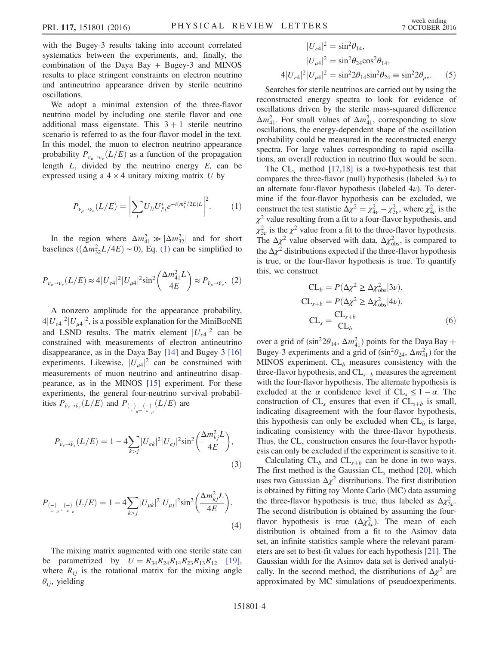with the Bugey-3 results taking into account correlated systematics between the experiments, and, finally, the combination of the Daya Bay + Bugey-3 and MINOS results to place stringent constraints on electron neutrino and antineutrino appearance driven by sterile neutrino oscillations.

We adopt a minimal extension of the three-flavor neutrino model by including one sterile flavor and one additional mass eigenstate. This  $3 + 1$  sterile neutrino scenario is referred to as the four-flavor model in the text. In this model, the muon to electron neutrino appearance probability  $P_{\nu_{\mu}\to\nu_{e}}(L/E)$  as a function of the propagation length  $L$ , divided by the neutrino energy  $E$ , can be expressed using a  $4 \times 4$  unitary mixing matrix U by

$$
P_{\nu_{\mu}\to\nu_{e}}(L/E) = \left|\sum_{i} U_{li} U_{l'i}^{*} e^{-i(m_{i}^{2}/2E)L}\right|^{2}.
$$
 (1)

In the region where  $\Delta m_{41}^2 \gg |\Delta m_{32}^2|$  and for short baselines  $((\Delta m_{32}^2 L/4E) \sim 0)$ , Eq. [\(1\)](#page-3-0) can be simplified to

$$
P_{\nu_{\mu}\to\nu_{e}}(L/E) \approx 4|U_{e4}|^{2}|U_{\mu4}|^{2}\sin^{2}\left(\frac{\Delta m_{41}^{2}L}{4E}\right) \approx P_{\bar{\nu}_{\mu}\to\bar{\nu}_{e}}.\tag{2}
$$

A nonzero amplitude for the appearance probability,  $4|U_{e4}|^2|U_{\mu4}|^2$ , is a possible explanation for the MiniBooNE and LSND results. The matrix element  $|U_{e4}|^2$  can be constrained with measurements of electron antineutrino disappearance, as in the Daya Bay [\[14\]](#page-7-9) and Bugey-3 [\[16\]](#page-8-0) experiments. Likewise,  $|U_{\mu 4}|^2$  can be constrained with measurements of muon neutrino and antineutrino disappearance, as in the MINOS [\[15\]](#page-7-10) experiment. For these experiments, the general four-neutrino survival probabilities  $P_{\bar{\nu}_e \to \bar{\nu}_e}(L/E)$  and  $P_{\left(\frac{1}{\mu}\right)_{\mu} \left(\frac{1}{\mu}\right)}(L/E)$  are

$$
P_{\bar{\nu}_e \to \bar{\nu}_e}(L/E) = 1 - 4 \sum_{k > j} |U_{ek}|^2 |U_{ej}|^2 \sin^2 \left(\frac{\Delta m_{kj}^2 L}{4E}\right),\tag{3}
$$

$$
P_{\left(\frac{1}{\nu}\right)_{\mu}\to\left(\frac{1}{\nu}\right)}(L/E) = 1 - 4\sum_{k>j}|U_{\mu k}|^2|U_{\mu j}|^2\sin^2\left(\frac{\Delta m_{kj}^2 L}{4E}\right).
$$
\n(4)

The mixing matrix augmented with one sterile state can be parametrized by  $U = R_{34}R_{24}R_{14}R_{23}R_{13}R_{12}$  [\[19\]](#page-8-2), where  $R_{ij}$  is the rotational matrix for the mixing angle  $\theta_{ij}$ , yielding

<span id="page-4-0"></span>
$$
|U_{e4}|^2 = \sin^2 \theta_{14},
$$
  
\n
$$
|U_{\mu 4}|^2 = \sin^2 \theta_{24} \cos^2 \theta_{14},
$$
  
\n
$$
4|U_{e4}|^2 |U_{\mu 4}|^2 = \sin^2 2\theta_{14} \sin^2 \theta_{24} \equiv \sin^2 2\theta_{\mu e}.
$$
 (5)

Searches for sterile neutrinos are carried out by using the reconstructed energy spectra to look for evidence of oscillations driven by the sterile mass-squared difference  $\Delta m_{41}^2$ . For small values of  $\Delta m_{41}^2$ , corresponding to slow oscillations, the energy-dependent shape of the oscillation probability could be measured in the reconstructed energy spectra. For large values corresponding to rapid oscillations, an overall reduction in neutrino flux would be seen.

The  $CL<sub>s</sub>$  method [\[17,18\]](#page-8-1) is a two-hypothesis test that compares the three-flavor (null) hypothesis (labeled  $3\nu$ ) to an alternate four-flavor hypothesis (labeled  $4\nu$ ). To determine if the four-flavor hypothesis can be excluded, we construct the test statistic  $\Delta \chi^2 = \chi^2_{4\nu} - \chi^2_{3\nu}$ , where  $\chi^2_{4\nu}$  is the  $\chi^2$  value resulting from a fit to a four-flavor hypothesis, and  $\chi^2_{3\nu}$  is the  $\chi^2$  value from a fit to the three-flavor hypothesis. The  $\Delta \chi^2$  value observed with data,  $\Delta \chi^2_{\rm obs}$ , is compared to the  $\Delta \chi^2$  distributions expected if the three-flavor hypothesis is true, or the four-flavor hypothesis is true. To quantify this, we construct

$$
CL_b = P(\Delta \chi^2 \ge \Delta \chi^2_{\text{obs}} | 3\nu),
$$
  
\n
$$
CL_{s+b} = P(\Delta \chi^2 \ge \Delta \chi^2_{\text{obs}} | 4\nu),
$$
  
\n
$$
CL_s = \frac{CL_{s+b}}{CL_b}
$$
 (6)

over a grid of  $(\sin^2 2\theta_{14}, \Delta m_{41}^2)$  points for the Daya Bay + Bugey-3 experiments and a grid of  $(\sin^2\theta_{24}, \Delta m_{41}^2)$  for the MINOS experiment.  $CL_b$  measures consistency with the three-flavor hypothesis, and  $CL_{s+b}$  measures the agreement with the four-flavor hypothesis. The alternate hypothesis is excluded at the  $\alpha$  confidence level if  $CL_s \leq 1 - \alpha$ . The construction of  $CL<sub>s</sub>$  ensures that even if  $CL<sub>s+b</sub>$  is small, indicating disagreement with the four-flavor hypothesis, this hypothesis can only be excluded when  $CL_b$  is large, indicating consistency with the three-flavor hypothesis. Thus, the CL<sub>s</sub> construction ensures the four-flavor hypothesis can only be excluded if the experiment is sensitive to it.

Calculating  $CL_b$  and  $CL_{s+b}$  can be done in two ways. The first method is the Gaussian  $CL<sub>s</sub>$  method [\[20\],](#page-8-3) which uses two Gaussian  $\Delta \chi^2$  distributions. The first distribution is obtained by fitting toy Monte Carlo (MC) data assuming the three-flavor hypothesis is true, thus labeled as  $\Delta \chi^2_{3\nu}$ . The second distribution is obtained by assuming the fourflavor hypothesis is true  $(\Delta \chi_{4\nu}^2)$ . The mean of each distribution is obtained from a fit to the Asimov data set, an infinite statistics sample where the relevant parameters are set to best-fit values for each hypothesis [\[21\].](#page-8-4) The Gaussian width for the Asimov data set is derived analytically. In the second method, the distributions of  $\Delta \chi^2$  are approximated by MC simulations of pseudoexperiments.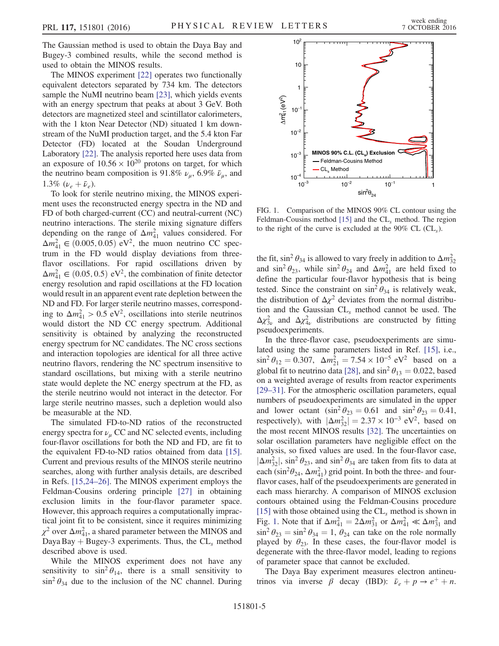The Gaussian method is used to obtain the Daya Bay and Bugey-3 combined results, while the second method is used to obtain the MINOS results.

The MINOS experiment [\[22\]](#page-8-5) operates two functionally equivalent detectors separated by 734 km. The detectors sample the NuMI neutrino beam [\[23\],](#page-8-6) which yields events with an energy spectrum that peaks at about 3 GeV. Both detectors are magnetized steel and scintillator calorimeters, with the 1 kton Near Detector (ND) situated 1 km downstream of the NuMI production target, and the 5.4 kton Far Detector (FD) located at the Soudan Underground Laboratory [\[22\]](#page-8-5). The analysis reported here uses data from an exposure of  $10.56 \times 10^{20}$  protons on target, for which the neutrino beam composition is 91.8%  $\nu_{\mu}$ , 6.9%  $\bar{\nu}_{\mu}$ , and 1.3%  $(\nu_e + \bar{\nu}_e)$ .

To look for sterile neutrino mixing, the MINOS experiment uses the reconstructed energy spectra in the ND and FD of both charged-current (CC) and neutral-current (NC) neutrino interactions. The sterile mixing signature differs depending on the range of  $\Delta m_{41}^2$  values considered. For  $\Delta m_{41}^2 \in (0.005, 0.05)$  eV<sup>2</sup>, the muon neutrino CC spectrum in the FD would display deviations from threeflavor oscillations. For rapid oscillations driven by  $\Delta m_{41}^2 \in (0.05, 0.5)$  eV<sup>2</sup>, the combination of finite detector energy resolution and rapid oscillations at the FD location would result in an apparent event rate depletion between the ND and FD. For larger sterile neutrino masses, corresponding to  $\Delta m_{41}^2 > 0.5$  eV<sup>2</sup>, oscillations into sterile neutrinos would distort the ND CC energy spectrum. Additional sensitivity is obtained by analyzing the reconstructed energy spectrum for NC candidates. The NC cross sections and interaction topologies are identical for all three active neutrino flavors, rendering the NC spectrum insensitive to standard oscillations, but mixing with a sterile neutrino state would deplete the NC energy spectrum at the FD, as the sterile neutrino would not interact in the detector. For large sterile neutrino masses, such a depletion would also be measurable at the ND.

The simulated FD-to-ND ratios of the reconstructed energy spectra for  $\nu_{\mu}$  CC and NC selected events, including four-flavor oscillations for both the ND and FD, are fit to the equivalent FD-to-ND ratios obtained from data [\[15\]](#page-7-10). Current and previous results of the MINOS sterile neutrino searches, along with further analysis details, are described in Refs. [\[15,24](#page-7-10)–26]. The MINOS experiment employs the Feldman-Cousins ordering principle [\[27\]](#page-8-7) in obtaining exclusion limits in the four-flavor parameter space. However, this approach requires a computationally impractical joint fit to be consistent, since it requires minimizing  $\chi^2$  over  $\Delta m_{41}^2$ , a shared parameter between the MINOS and Daya Bay + Bugey-3 experiments. Thus, the  $CL<sub>s</sub>$  method described above is used.

While the MINOS experiment does not have any sensitivity to  $\sin^2 \theta_{14}$ , there is a small sensitivity to  $\sin^2 \theta_{34}$  due to the inclusion of the NC channel. During

<span id="page-5-0"></span>

FIG. 1. Comparison of the MINOS 90% CL contour using the Feldman-Cousins method  $[15]$  and the  $CL<sub>s</sub>$  method. The region to the right of the curve is excluded at the  $90\%$  CL (CL<sub>s</sub>).

the fit, sin<sup>2</sup>  $\theta_{34}$  is allowed to vary freely in addition to  $\Delta m_{32}^2$ and  $\sin^2 \theta_{23}$ , while  $\sin^2 \theta_{24}$  and  $\Delta m_{41}^2$  are held fixed to define the particular four-flavor hypothesis that is being tested. Since the constraint on  $\sin^2 \theta_{34}$  is relatively weak, the distribution of  $\Delta \chi^2$  deviates from the normal distribution and the Gaussian  $CL<sub>s</sub>$  method cannot be used. The  $\Delta \chi^2_{3\nu}$  and  $\Delta \chi^2_{4\nu}$  distributions are constructed by fitting pseudoexperiments.

In the three-flavor case, pseudoexperiments are simulated using the same parameters listed in Ref. [\[15\],](#page-7-10) i.e.,  $\sin^2 \theta_{12} = 0.307$ ,  $\Delta m_{21}^2 = 7.54 \times 10^{-5}$  eV<sup>2</sup> based on a global fit to neutrino data [\[28\],](#page-8-8) and  $\sin^2 \theta_{13} = 0.022$ , based on a weighted average of results from reactor experiments [\[29](#page-8-9)–31]. For the atmospheric oscillation parameters, equal numbers of pseudoexperiments are simulated in the upper and lower octant  $(\sin^2 \theta_{23} = 0.61 \text{ and } \sin^2 \theta_{23} = 0.41,$ respectively), with  $|\Delta m_{32}^2| = 2.37 \times 10^{-3} \text{ eV}^2$ , based on the most recent MINOS results [\[32\].](#page-8-10) The uncertainties on solar oscillation parameters have negligible effect on the analysis, so fixed values are used. In the four-flavor case,  $|\Delta m_{32}^2|$ , sin<sup>2</sup>  $\theta_{23}$ , and sin<sup>2</sup>  $\theta_{34}$  are taken from fits to data at each (sin<sup>2</sup> $\theta_{24}$ ,  $\Delta m_{41}^2$ ) grid point. In both the three- and fourflavor cases, half of the pseudoexperiments are generated in each mass hierarchy. A comparison of MINOS exclusion contours obtained using the Feldman-Cousins procedure [\[15\]](#page-7-10) with those obtained using the  $CL<sub>s</sub>$  method is shown in Fig. [1](#page-4-0). Note that if  $\Delta m_{41}^2 = 2\Delta m_{31}^2$  or  $\Delta m_{41}^2 \ll \Delta m_{31}^2$  and  $\sin^2 \theta_{23} = \sin^2 \theta_{34} = 1$ ,  $\theta_{24}$  can take on the role normally played by  $\theta_{23}$ . In these cases, the four-flavor model is degenerate with the three-flavor model, leading to regions of parameter space that cannot be excluded.

The Daya Bay experiment measures electron antineutrinos via inverse  $\hat{\beta}$  decay (IBD):  $\bar{\nu}_e + p \rightarrow e^+ + n$ .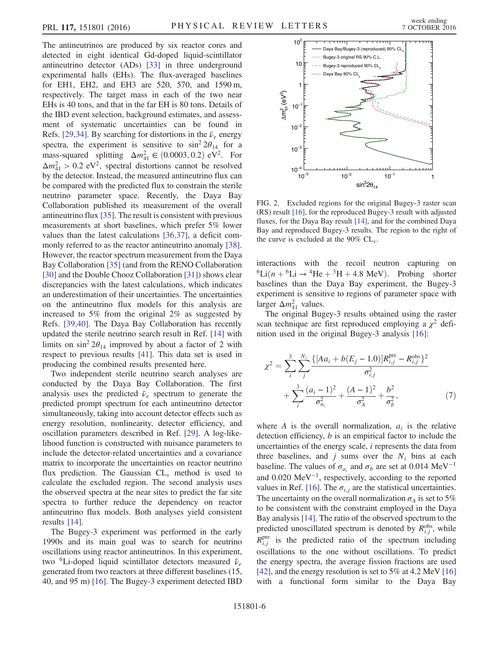<span id="page-6-0"></span>The antineutrinos are produced by six reactor cores and detected in eight identical Gd-doped liquid-scintillator antineutrino detector (ADs) [\[33\]](#page-8-11) in three underground experimental halls (EHs). The flux-averaged baselines for EH1, EH2, and EH3 are 520, 570, and 1590 m, respectively. The target mass in each of the two near EHs is 40 tons, and that in the far EH is 80 tons. Details of the IBD event selection, background estimates, and assessment of systematic uncertainties can be found in Refs. [\[29,34\].](#page-8-9) By searching for distortions in the  $\bar{\nu}_e$  energy spectra, the experiment is sensitive to  $\sin^2 2\theta_{14}$  for a mass-squared splitting  $\Delta m_{41}^2 \in (0.0003, 0.2) \text{ eV}^2$ . For  $\Delta m_{41}^2 > 0.2$  eV<sup>2</sup>, spectral distortions cannot be resolved by the detector. Instead, the measured antineutrino flux can be compared with the predicted flux to constrain the sterile neutrino parameter space. Recently, the Daya Bay Collaboration published its measurement of the overall antineutrino flux [\[35\]](#page-8-12). The result is consistent with previous measurements at short baselines, which prefer 5% lower values than the latest calculations [\[36,37\]](#page-8-13), a deficit commonly referred to as the reactor antineutrino anomaly [\[38\]](#page-8-14). However, the reactor spectrum measurement from the Daya Bay Collaboration [\[35\]](#page-8-12) (and from the RENO Collaboration [\[30\]](#page-8-15) and the Double Chooz Collaboration [\[31\]](#page-8-16)) shows clear discrepancies with the latest calculations, which indicates an underestimation of their uncertainties. The uncertainties on the antineutrino flux models for this analysis are increased to 5% from the original 2% as suggested by Refs. [\[39,40\]](#page-8-17). The Daya Bay Collaboration has recently updated the sterile neutrino search result in Ref. [\[14\]](#page-7-9) with limits on  $\sin^2 2\theta_{14}$  improved by about a factor of 2 with respect to previous results [\[41\].](#page-8-18) This data set is used in producing the combined results presented here.

Two independent sterile neutrino search analyses are conducted by the Daya Bay Collaboration. The first analysis uses the predicted  $\bar{\nu}_e$  spectrum to generate the predicted prompt spectrum for each antineutrino detector simultaneously, taking into account detector effects such as energy resolution, nonlinearity, detector efficiency, and oscillation parameters described in Ref. [\[29\]](#page-8-9). A log-likelihood function is constructed with nuisance parameters to include the detector-related uncertainties and a covariance matrix to incorporate the uncertainties on reactor neutrino flux prediction. The Gaussian  $CL<sub>s</sub>$  method is used to calculate the excluded region. The second analysis uses the observed spectra at the near sites to predict the far site spectra to further reduce the dependency on reactor antineutrino flux models. Both analyses yield consistent results [\[14\].](#page-7-9)

The Bugey-3 experiment was performed in the early 1990s and its main goal was to search for neutrino oscillations using reactor antineutrinos. In this experiment, two <sup>6</sup>Li-doped liquid scintillator detectors measured  $\bar{\nu}_e$ generated from two reactors at three different baselines (15, 40, and 95 m) [\[16\]](#page-8-0). The Bugey-3 experiment detected IBD

<span id="page-6-1"></span>

FIG. 2. Excluded regions for the original Bugey-3 raster scan (RS) result [\[16\]](#page-8-0), for the reproduced Bugey-3 result with adjusted fluxes, for the Daya Bay result [\[14\],](#page-7-9) and for the combined Daya Bay and reproduced Bugey-3 results. The region to the right of the curve is excluded at the  $90\%$  CL<sub>s</sub>.

interactions with the recoil neutron capturing on  ${}^{6}$ Li(n +  ${}^{6}$ Li  $\rightarrow$   ${}^{4}$ He +  ${}^{3}$ H + 4.8 MeV). Probing shorter baselines than the Daya Bay experiment, the Bugey-3 experiment is sensitive to regions of parameter space with larger  $\Delta m_{41}^2$  values.

The original Bugey-3 results obtained using the raster scan technique are first reproduced employing a  $\chi^2$  definition used in the original Bugey-3 analysis [\[16\]](#page-8-0):

$$
\chi^{2} = \sum_{i}^{3} \sum_{j}^{N_{i}} \frac{\{[Aa_{i} + b(E_{j} - 1.0)]R_{i,j}^{\text{pre}} - R_{i,j}^{\text{obs}}\}^{2}}{\sigma_{i,j}^{2}} + \sum_{i}^{3} \frac{(a_{i} - 1)^{2}}{\sigma_{a_{i}}^{2}} + \frac{(A - 1)^{2}}{\sigma_{A}^{2}} + \frac{b^{2}}{\sigma_{b}^{2}},
$$
(7)

where A is the overall normalization,  $a_i$  is the relative detection efficiency, b is an empirical factor to include the uncertainties of the energy scale, i represents the data from three baselines, and  $j$  sums over the  $N_i$  bins at each baseline. The values of  $\sigma_{a_i}$  and  $\sigma_b$  are set at 0.014 MeV<sup>-1</sup> and 0.020 MeV<sup>−</sup><sup>1</sup> , respectively, according to the reported values in Ref. [\[16\]](#page-8-0). The  $\sigma_{i,j}$  are the statistical uncertainties. The uncertainty on the overall normalization  $\sigma_A$  is set to 5% to be consistent with the constraint employed in the Daya Bay analysis [\[14\].](#page-7-9) The ratio of the observed spectrum to the predicted unoscillated spectrum is denoted by  $R_{i,j}^{\text{obs}}$ , while  $R_{i,j}^{\text{pre}}$  is the predicted ratio of the spectrum including oscillations to the one without oscillations. To predict the energy spectra, the average fission fractions are used [\[42\]](#page-8-19), and the energy resolution is set to 5% at 4.2 MeV [\[16\]](#page-8-0) with a functional form similar to the Daya Bay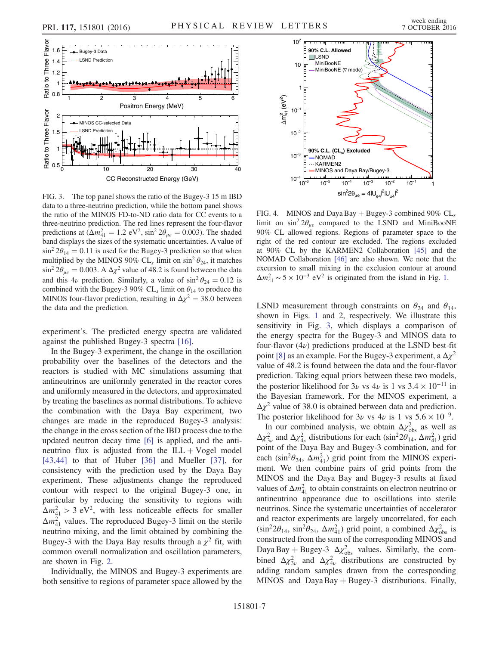

FIG. 3. The top panel shows the ratio of the Bugey-3 15 m IBD data to a three-neutrino prediction, while the bottom panel shows the ratio of the MINOS FD-to-ND ratio data for CC events to a three-neutrino prediction. The red lines represent the four-flavor predictions at  $(\Delta m_{41}^2 = 1.2 \text{ eV}^2, \sin^2 2\theta_{\mu e} = 0.003)$ . The shaded band displays the sizes of the systematic uncertainties. A value of  $\sin^2 2\theta_{14} = 0.11$  is used for the Bugey-3 prediction so that when multiplied by the MINOS 90% CL<sub>s</sub> limit on sin<sup>2</sup>  $\theta_{24}$ , it matches  $\sin^2 2\theta_{\mu e} = 0.003$ . A  $\Delta \chi^2$  value of 48.2 is found between the data and this 4*v* prediction. Similarly, a value of  $\sin^2 \theta_{24} = 0.12$  is combined with the Bugey-3 90%  $CL<sub>s</sub>$  limit on  $\theta_{14}$  to produce the MINOS four-flavor prediction, resulting in  $\Delta \chi^2 = 38.0$  between the data and the prediction.

experiment's. The predicted energy spectra are validated against the published Bugey-3 spectra [\[16\]](#page-8-0).

In the Bugey-3 experiment, the change in the oscillation probability over the baselines of the detectors and the reactors is studied with MC simulations assuming that antineutrinos are uniformly generated in the reactor cores and uniformly measured in the detectors, and approximated by treating the baselines as normal distributions. To achieve the combination with the Daya Bay experiment, two changes are made in the reproduced Bugey-3 analysis: the change in the cross section of the IBD process due to the updated neutron decay time [\[6\]](#page-7-4) is applied, and the antineutrino flux is adjusted from the  $ILL + Vogel$  model [\[43,44\]](#page-8-20) to that of Huber [\[36\]](#page-8-13) and Mueller [\[37\],](#page-8-21) for consistency with the prediction used by the Daya Bay experiment. These adjustments change the reproduced contour with respect to the original Bugey-3 one, in particular by reducing the sensitivity to regions with  $\Delta m_{41}^2 > 3$  eV<sup>2</sup>, with less noticeable effects for smaller  $\Delta m_{41}^2$  values. The reproduced Bugey-3 limit on the sterile neutrino mixing, and the limit obtained by combining the Bugey-3 with the Daya Bay results through a  $\chi^2$  fit, with common overall normalization and oscillation parameters, are shown in Fig. [2](#page-5-0).

Individually, the MINOS and Bugey-3 experiments are both sensitive to regions of parameter space allowed by the



FIG. 4. MINOS and Daya Bay + Bugey-3 combined 90%  $CL_s$ limit on  $\sin^2 2\theta_{ue}$  compared to the LSND and MiniBooNE 90% CL allowed regions. Regions of parameter space to the right of the red contour are excluded. The regions excluded at 90% CL by the KARMEN2 Collaboration [\[45\]](#page-8-22) and the NOMAD Collaboration [\[46\]](#page-8-23) are also shown. We note that the excursion to small mixing in the exclusion contour at around  $\Delta m_{41}^2 \sim 5 \times 10^{-3}$  eV<sup>2</sup> is originated from the island in Fig. [1.](#page-4-0)

<span id="page-7-3"></span><span id="page-7-2"></span><span id="page-7-1"></span><span id="page-7-0"></span>LSND measurement through constraints on  $\theta_{24}$  and  $\theta_{14}$ , shown in Figs. [1](#page-4-0) and 2, respectively. We illustrate this sensitivity in Fig. [3,](#page-6-0) which displays a comparison of the energy spectra for the Bugey-3 and MINOS data to four-flavor  $(4\nu)$  predictions produced at the LSND best-fit point [\[8\]](#page-7-5) as an example. For the Bugey-3 experiment, a  $\Delta \chi^2$ value of 48.2 is found between the data and the four-flavor prediction. Taking equal priors between these two models, the posterior likelihood for  $3\nu$  vs  $4\nu$  is 1 vs  $3.4 \times 10^{-11}$  in the Bayesian framework. For the MINOS experiment, a  $\Delta \chi^2$  value of 38.0 is obtained between data and prediction. The posterior likelihood for  $3\nu$  vs  $4\nu$  is 1 vs  $5.6 \times 10^{-9}$ .

<span id="page-7-11"></span><span id="page-7-10"></span><span id="page-7-9"></span><span id="page-7-8"></span><span id="page-7-7"></span><span id="page-7-6"></span><span id="page-7-5"></span><span id="page-7-4"></span>In our combined analysis, we obtain  $\Delta \chi^2_{\rm obs}$  as well as  $\Delta \chi^2_{3\nu}$  and  $\Delta \chi^2_{4\nu}$  distributions for each (sin<sup>2</sup>2 $\theta_{14}$ ,  $\Delta m^2_{41}$ ) grid point of the Daya Bay and Bugey-3 combination, and for each (sin<sup>2</sup> $\theta_{24}$ ,  $\Delta m_{41}^2$ ) grid point from the MINOS experiment. We then combine pairs of grid points from the MINOS and the Daya Bay and Bugey-3 results at fixed values of  $\Delta m_{41}^2$  to obtain constraints on electron neutrino or antineutrino appearance due to oscillations into sterile neutrinos. Since the systematic uncertainties of accelerator and reactor experiments are largely uncorrelated, for each  $(\sin^2 2\theta_{14}, \sin^2 \theta_{24}, \Delta m_{41}^2)$  grid point, a combined  $\Delta \chi^2_{\rm obs}$  is constructed from the sum of the corresponding MINOS and Daya Bay + Bugey-3  $\Delta \chi^2_{\rm obs}$  values. Similarly, the combined  $\Delta \chi^2_{3\nu}$  and  $\Delta \chi^2_{4\nu}$  distributions are constructed by adding random samples drawn from the corresponding MINOS and Daya Bay  $+$  Bugey-3 distributions. Finally,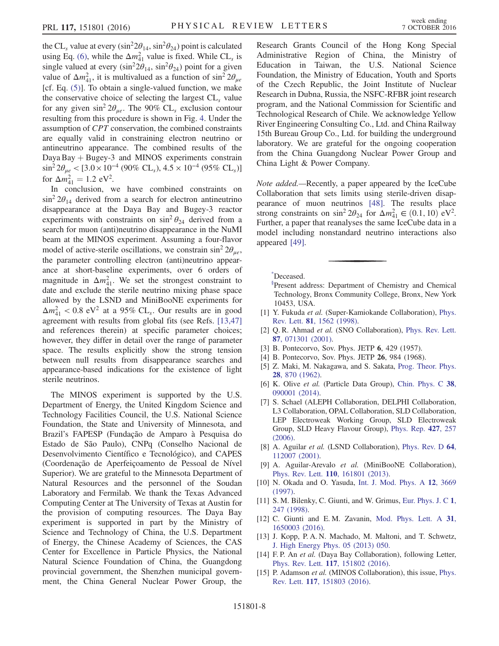<span id="page-8-3"></span><span id="page-8-2"></span><span id="page-8-1"></span><span id="page-8-0"></span>the CL<sub>s</sub> value at every (sin<sup>2</sup> $2\theta_{14}$ , sin<sup>2</sup> $\theta_{24}$ ) point is calculated using Eq. [\(6\),](#page-3-1) while the  $\Delta m_{41}^2$  value is fixed. While CL<sub>s</sub> is single valued at every ( $\sin^2 2\theta_{14}$ ,  $\sin^2 \theta_{24}$ ) point for a given value of  $\Delta m_{41}^2$ , it is multivalued as a function of sin<sup>2</sup>  $2\theta_{\mu e}$ [cf. Eq. [\(5\)\]](#page-3-2). To obtain a single-valued function, we make the conservative choice of selecting the largest  $CL<sub>s</sub>$  value for any given  $\sin^2 2\theta_{\mu e}$ . The 90% CL<sub>s</sub> exclusion contour resulting from this procedure is shown in Fig. [4](#page-6-1). Under the assumption of CPT conservation, the combined constraints are equally valid in constraining electron neutrino or antineutrino appearance. The combined results of the Daya Bay  $+$  Bugey-3 and MINOS experiments constrain  $\sin^2 2\theta_{\mu e} < [3.0 \times 10^{-4} (90\% \text{ CL}_s), 4.5 \times 10^{-4} (95\% \text{ CL}_s)]$ for  $\Delta m_{41}^2 = 1.2 \text{ eV}^2$ .

<span id="page-8-15"></span><span id="page-8-9"></span><span id="page-8-8"></span><span id="page-8-7"></span><span id="page-8-6"></span><span id="page-8-5"></span><span id="page-8-4"></span>In conclusion, we have combined constraints on  $\sin^2 2\theta_{14}$  derived from a search for electron antineutrino disappearance at the Daya Bay and Bugey-3 reactor experiments with constraints on  $\sin^2 \theta_{24}$  derived from a search for muon (anti)neutrino disappearance in the NuMI beam at the MINOS experiment. Assuming a four-flavor model of active-sterile oscillations, we constrain  $\sin^2 2\theta_{\mu e}$ , the parameter controlling electron (anti)neutrino appearance at short-baseline experiments, over 6 orders of magnitude in  $\Delta m_{41}^2$ . We set the strongest constraint to date and exclude the sterile neutrino mixing phase space allowed by the LSND and MiniBooNE experiments for  $\Delta m_{41}^2$  < 0.8 eV<sup>2</sup> at a 95% CL<sub>s</sub>. Our results are in good agreement with results from global fits (see Refs. [\[13,47\]](#page-7-11) and references therein) at specific parameter choices; however, they differ in detail over the range of parameter space. The results explicitly show the strong tension between null results from disappearance searches and appearance-based indications for the existence of light sterile neutrinos.

<span id="page-8-16"></span><span id="page-8-10"></span>The MINOS experiment is supported by the U.S. Department of Energy, the United Kingdom Science and Technology Facilities Council, the U.S. National Science Foundation, the State and University of Minnesota, and Brazil's FAPESP (Fundação de Amparo à Pesquisa do Estado de São Paulo), CNPq (Conselho Nacional de Desenvolvimento Científico e Tecnológico), and CAPES (Coordenação de Aperfeiçoamento de Pessoal de Nível Superior). We are grateful to the Minnesota Department of Natural Resources and the personnel of the Soudan Laboratory and Fermilab. We thank the Texas Advanced Computing Center at The University of Texas at Austin for the provision of computing resources. The Daya Bay experiment is supported in part by the Ministry of Science and Technology of China, the U.S. Department of Energy, the Chinese Academy of Sciences, the CAS Center for Excellence in Particle Physics, the National Natural Science Foundation of China, the Guangdong provincial government, the Shenzhen municipal government, the China General Nuclear Power Group, the <span id="page-8-21"></span><span id="page-8-13"></span><span id="page-8-12"></span><span id="page-8-11"></span>Research Grants Council of the Hong Kong Special Administrative Region of China, the Ministry of Education in Taiwan, the U.S. National Science Foundation, the Ministry of Education, Youth and Sports of the Czech Republic, the Joint Institute of Nuclear Research in Dubna, Russia, the NSFC-RFBR joint research program, and the National Commission for Scientific and Technological Research of Chile. We acknowledge Yellow River Engineering Consulting Co., Ltd. and China Railway 15th Bureau Group Co., Ltd. for building the underground laboratory. We are grateful for the ongoing cooperation from the China Guangdong Nuclear Power Group and China Light & Power Company.

<span id="page-8-20"></span><span id="page-8-19"></span><span id="page-8-18"></span><span id="page-8-17"></span><span id="page-8-14"></span>Note added.—Recently, a paper appeared by the IceCube Collaboration that sets limits using sterile-driven disappearance of muon neutrinos [\[48\]](#page-8-24). The results place strong constraints on  $\sin^2 2\theta_{24}$  for  $\Delta m_{41}^2 \in (0.1, 10)$  eV<sup>2</sup>. Further, a paper that reanalyses the same IceCube data in a model including nonstandard neutrino interactions also appeared [\[49\]](#page-8-25).

<span id="page-8-23"></span><span id="page-8-22"></span>[\\*](#page-0-0)Deceased.

[§](#page-0-1) Present address: Department of Chemistry and Chemical Technology, Bronx Community College, Bronx, New York 10453, USA.

- <span id="page-8-25"></span><span id="page-8-24"></span>[1] Y. Fukuda et al. (Super-Kamiokande Collaboration), [Phys.](http://dx.doi.org/10.1103/PhysRevLett.81.1562) Rev. Lett. 81[, 1562 \(1998\)](http://dx.doi.org/10.1103/PhysRevLett.81.1562).
- [2] Q. R. Ahmad et al. (SNO Collaboration), [Phys. Rev. Lett.](http://dx.doi.org/10.1103/PhysRevLett.87.071301) 87[, 071301 \(2001\).](http://dx.doi.org/10.1103/PhysRevLett.87.071301)
- [3] B. Pontecorvo, Sov. Phys. JETP 6, 429 (1957).
- [4] B. Pontecorvo, Sov. Phys. JETP 26, 984 (1968).
- [5] Z. Maki, M. Nakagawa, and S. Sakata, [Prog. Theor. Phys.](http://dx.doi.org/10.1143/PTP.28.870) 28[, 870 \(1962\).](http://dx.doi.org/10.1143/PTP.28.870)
- [6] K. Olive et al. (Particle Data Group), [Chin. Phys. C](http://dx.doi.org/10.1088/1674-1137/38/9/090001) 38, [090001 \(2014\).](http://dx.doi.org/10.1088/1674-1137/38/9/090001)
- [7] S. Schael (ALEPH Collaboration, DELPHI Collaboration, L3 Collaboration, OPAL Collaboration, SLD Collaboration, LEP Electroweak Working Group, SLD Electroweak Group, SLD Heavy Flavour Group), [Phys. Rep.](http://dx.doi.org/10.1016/j.physrep.2005.12.006) 427, 257 [\(2006\).](http://dx.doi.org/10.1016/j.physrep.2005.12.006)
- [8] A. Aguilar et al. (LSND Collaboration), [Phys. Rev. D](http://dx.doi.org/10.1103/PhysRevD.64.112007) 64, [112007 \(2001\).](http://dx.doi.org/10.1103/PhysRevD.64.112007)
- [9] A. Aguilar-Arevalo et al. (MiniBooNE Collaboration), Phys. Rev. Lett. 110[, 161801 \(2013\).](http://dx.doi.org/10.1103/PhysRevLett.110.161801)
- [10] N. Okada and O. Yasuda, [Int. J. Mod. Phys. A](http://dx.doi.org/10.1142/S0217751X97001894) 12, 3669 [\(1997\).](http://dx.doi.org/10.1142/S0217751X97001894)
- [11] S. M. Bilenky, C. Giunti, and W. Grimus, [Eur. Phys. J. C](http://dx.doi.org/10.1007/BF01245814) 1, [247 \(1998\)](http://dx.doi.org/10.1007/BF01245814).
- [12] C. Giunti and E.M. Zavanin, [Mod. Phys. Lett. A](http://dx.doi.org/10.1142/S0217732316500036) 31, [1650003 \(2016\).](http://dx.doi.org/10.1142/S0217732316500036)
- [13] J. Kopp, P. A. N. Machado, M. Maltoni, and T. Schwetz, [J. High Energy Phys. 05 \(2013\) 050.](http://dx.doi.org/10.1007/JHEP05(2013)050)
- [14] F. P. An et al. (Daya Bay Collaboration), following Letter, Phys. Rev. Lett. 117[, 151802 \(2016\).](http://dx.doi.org/10.1103/PhysRevLett.117.151802)
- [15] P. Adamson et al. (MINOS Collaboration), this issue, [Phys.](http://dx.doi.org/10.1103/PhysRevLett.117.151803) Rev. Lett. 117[, 151803 \(2016\).](http://dx.doi.org/10.1103/PhysRevLett.117.151803)